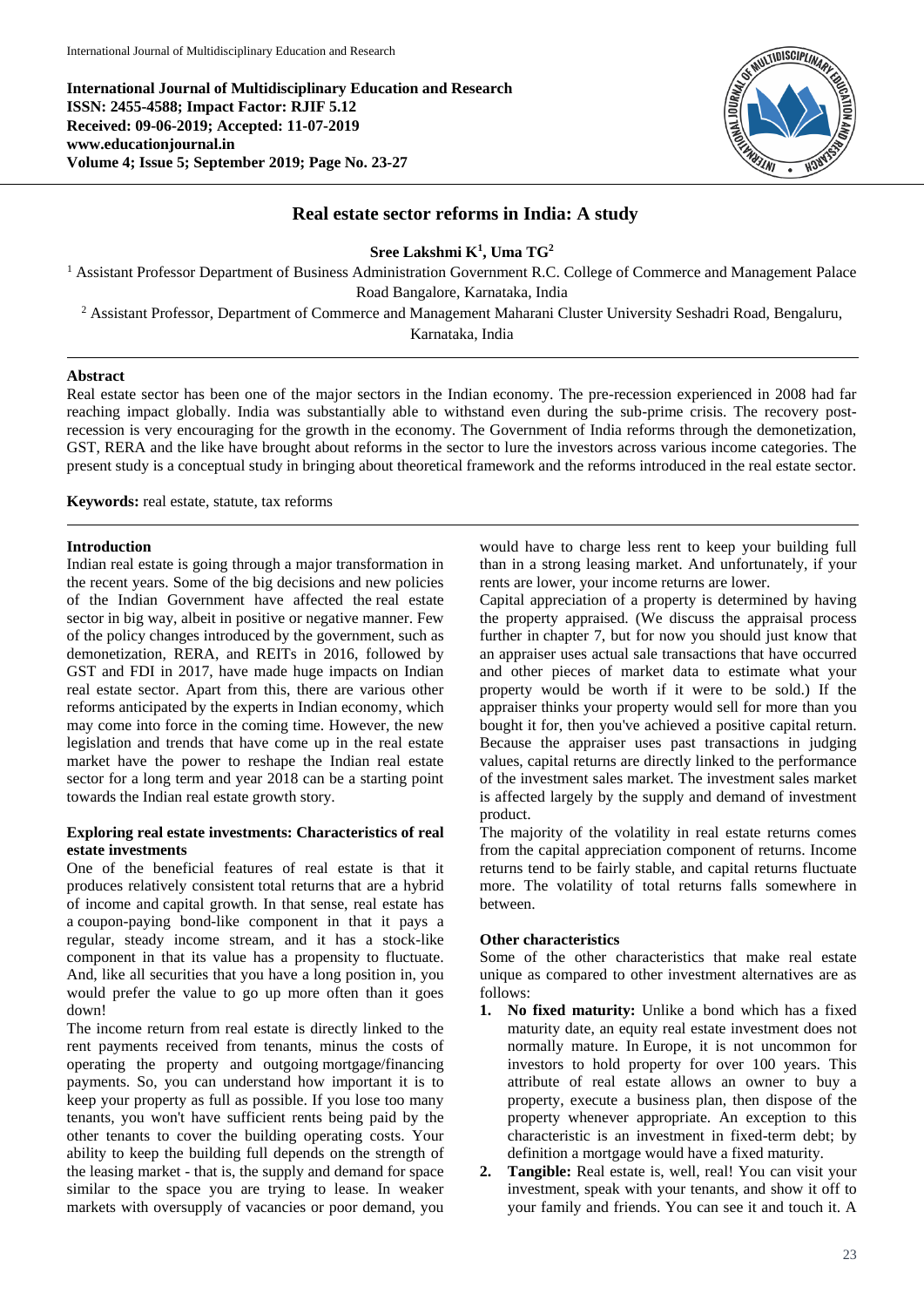**International Journal of Multidisciplinary Education and Research ISSN: 2455-4588; Impact Factor: RJIF 5.12 Received: 09-06-2019; Accepted: 11-07-2019 www.educationjournal.in Volume 4; Issue 5; September 2019; Page No. 23-27**



# **Real estate sector reforms in India: A study**

**Sree Lakshmi K<sup>1</sup> , Uma TG<sup>2</sup>**

<sup>1</sup> Assistant Professor Department of Business Administration Government R.C. College of Commerce and Management Palace Road Bangalore, Karnataka, India

<sup>2</sup> Assistant Professor, Department of Commerce and Management Maharani Cluster University Seshadri Road, Bengaluru,

Karnataka, India

### **Abstract**

Real estate sector has been one of the major sectors in the Indian economy. The pre-recession experienced in 2008 had far reaching impact globally. India was substantially able to withstand even during the sub-prime crisis. The recovery postrecession is very encouraging for the growth in the economy. The Government of India reforms through the demonetization, GST, RERA and the like have brought about reforms in the sector to lure the investors across various income categories. The present study is a conceptual study in bringing about theoretical framework and the reforms introduced in the real estate sector.

**Keywords:** real estate, statute, tax reforms

### **Introduction**

Indian real estate is going through a major transformation in the recent years. Some of the big decisions and new policies of the Indian Government have affected the real estate sector in big way, albeit in positive or negative manner. Few of the policy changes introduced by the government, such as demonetization, RERA, and REITs in 2016, followed by GST and FDI in 2017, have made huge impacts on Indian real estate sector. Apart from this, there are various other reforms anticipated by the experts in Indian economy, which may come into force in the coming time. However, the new legislation and trends that have come up in the real estate market have the power to reshape the Indian real estate sector for a long term and year 2018 can be a starting point towards the Indian real estate growth story.

### **Exploring real estate investments: Characteristics of real estate investments**

One of the beneficial features of real estate is that it produces relatively consistent total returns that are a hybrid of income and capital growth. In that sense, real estate has a coupon-paying bond-like component in that it pays a regular, steady income stream, and it has a stock-like component in that its value has a propensity to fluctuate. And, like all securities that you have a long position in, you would prefer the value to go up more often than it goes down!

The income return from real estate is directly linked to the rent payments received from tenants, minus the costs of operating the property and outgoing mortgage/financing payments. So, you can understand how important it is to keep your property as full as possible. If you lose too many tenants, you won't have sufficient rents being paid by the other tenants to cover the building operating costs. Your ability to keep the building full depends on the strength of the leasing market - that is, the supply and demand for space similar to the space you are trying to lease. In weaker markets with oversupply of vacancies or poor demand, you

would have to charge less rent to keep your building full than in a strong leasing market. And unfortunately, if your rents are lower, your income returns are lower.

Capital appreciation of a property is determined by having the property appraised. (We discuss the appraisal process further in chapter 7, but for now you should just know that an appraiser uses actual sale transactions that have occurred and other pieces of market data to estimate what your property would be worth if it were to be sold.) If the appraiser thinks your property would sell for more than you bought it for, then you've achieved a positive capital return. Because the appraiser uses past transactions in judging values, capital returns are directly linked to the performance of the investment sales market. The investment sales market is affected largely by the supply and demand of investment product.

The majority of the volatility in real estate returns comes from the capital appreciation component of returns. Income returns tend to be fairly stable, and capital returns fluctuate more. The volatility of total returns falls somewhere in between.

## **Other characteristics**

Some of the other characteristics that make real estate unique as compared to other investment alternatives are as follows:

- **1. No fixed maturity:** Unlike a bond which has a fixed maturity date, an equity real estate investment does not normally mature. In Europe, it is not uncommon for investors to hold property for over 100 years. This attribute of real estate allows an owner to buy a property, execute a business plan, then dispose of the property whenever appropriate. An exception to this characteristic is an investment in fixed-term debt; by definition a mortgage would have a fixed maturity.
- **2. Tangible:** Real estate is, well, real! You can visit your investment, speak with your tenants, and show it off to your family and friends. You can see it and touch it. A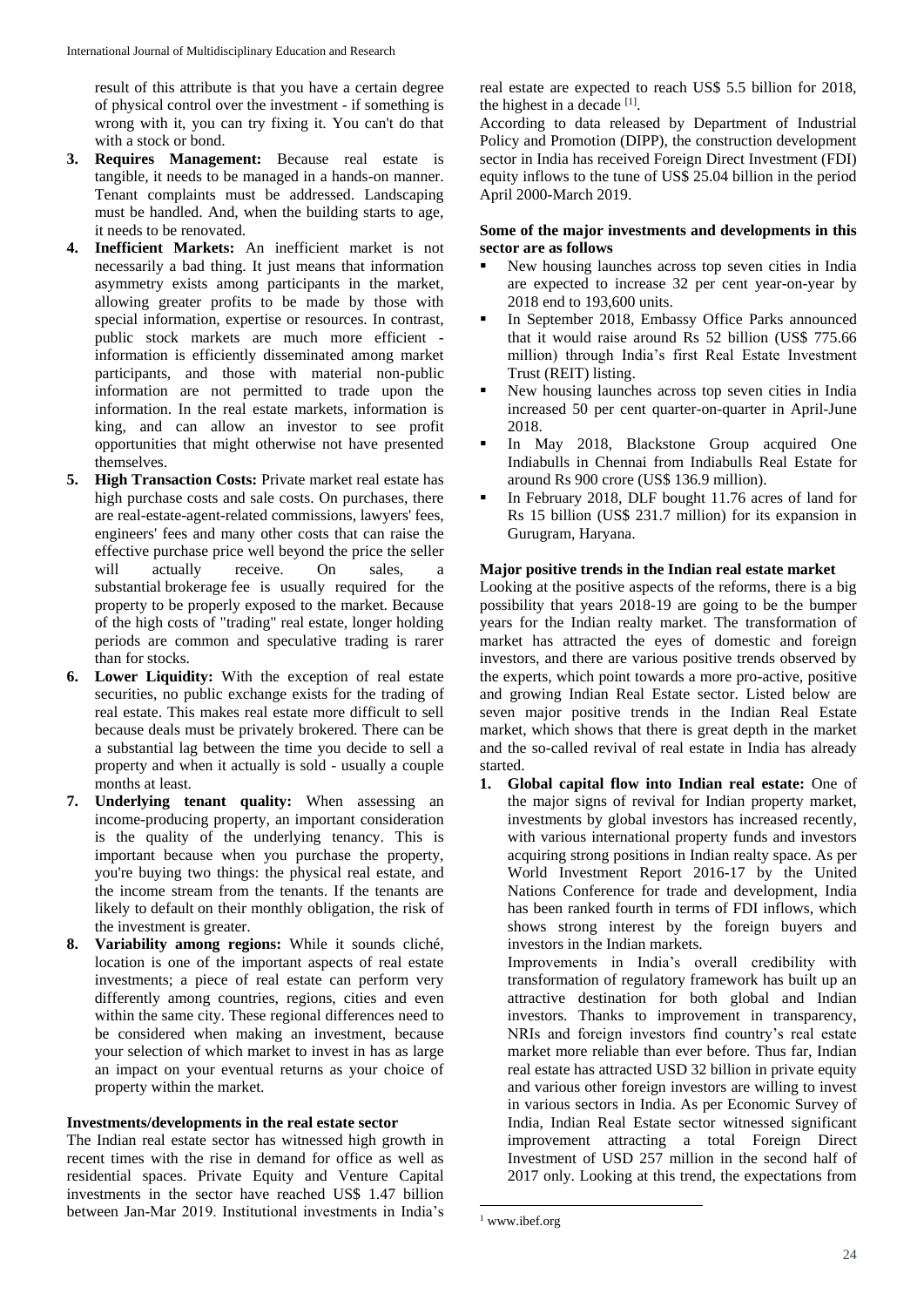result of this attribute is that you have a certain degree of physical control over the investment - if something is wrong with it, you can try fixing it. You can't do that with a stock or bond.

- **3. Requires Management:** Because real estate is tangible, it needs to be managed in a hands-on manner. Tenant complaints must be addressed. Landscaping must be handled. And, when the building starts to age, it needs to be renovated.
- **4. Inefficient Markets:** An inefficient market is not necessarily a bad thing. It just means that information asymmetry exists among participants in the market, allowing greater profits to be made by those with special information, expertise or resources. In contrast, public stock markets are much more efficient information is efficiently disseminated among market participants, and those with material non-public information are not permitted to trade upon the information. In the real estate markets, information is king, and can allow an investor to see profit opportunities that might otherwise not have presented themselves.
- **5. High Transaction Costs:** Private market real estate has high purchase costs and sale costs. On purchases, there are real-estate-agent-related commissions, lawyers' fees, engineers' fees and many other costs that can raise the effective purchase price well beyond the price the seller will actually receive. On sales, a substantial brokerage fee is usually required for the property to be properly exposed to the market. Because of the high costs of "trading" real estate, longer holding periods are common and speculative trading is rarer than for stocks.
- **6. Lower Liquidity:** With the exception of real estate securities, no public exchange exists for the trading of real estate. This makes real estate more difficult to sell because deals must be privately brokered. There can be a substantial lag between the time you decide to sell a property and when it actually is sold - usually a couple months at least.
- **7. Underlying tenant quality:** When assessing an income-producing property, an important consideration is the quality of the underlying tenancy. This is important because when you purchase the property, you're buying two things: the physical real estate, and the income stream from the tenants. If the tenants are likely to default on their monthly obligation, the risk of the investment is greater.
- **8. Variability among regions:** While it sounds cliché, location is one of the important aspects of real estate investments; a piece of real estate can perform very differently among countries, regions, cities and even within the same city. These regional differences need to be considered when making an investment, because your selection of which market to invest in has as large an impact on your eventual returns as your choice of property within the market.

# **Investments/developments in the real estate sector**

The Indian real estate sector has witnessed high growth in recent times with the rise in demand for office as well as residential spaces. Private Equity and Venture Capital investments in the sector have reached US\$ 1.47 billion between Jan-Mar 2019. Institutional investments in India's

real estate are expected to reach US\$ 5.5 billion for 2018, the highest in a decade  $[1]$ .

According to data released by Department of Industrial Policy and Promotion (DIPP), the construction development sector in India has received Foreign Direct Investment (FDI) equity inflows to the tune of US\$ 25.04 billion in the period April 2000-March 2019.

# **Some of the major investments and developments in this sector are as follows**

- New housing launches across top seven cities in India are expected to increase 32 per cent year-on-year by 2018 end to 193,600 units.
- In September 2018, Embassy Office Parks announced that it would raise around Rs 52 billion (US\$ 775.66 million) through India's first Real Estate Investment Trust (REIT) listing.
- New housing launches across top seven cities in India increased 50 per cent quarter-on-quarter in April-June 2018.
- In May 2018, Blackstone Group acquired One Indiabulls in Chennai from Indiabulls Real Estate for around Rs 900 crore (US\$ 136.9 million).
- In February 2018, DLF bought 11.76 acres of land for Rs 15 billion (US\$ 231.7 million) for its expansion in Gurugram, Haryana.

# **Major positive trends in the Indian real estate market**

Looking at the positive aspects of the reforms, there is a big possibility that years 2018-19 are going to be the bumper years for the Indian realty market. The transformation of market has attracted the eyes of domestic and foreign investors, and there are various positive trends observed by the experts, which point towards a more pro-active, positive and growing Indian Real Estate sector. Listed below are seven major positive trends in the Indian Real Estate market, which shows that there is great depth in the market and the so-called revival of real estate in India has already started.

**1. Global capital flow into Indian real estate:** One of the major signs of revival for Indian property market, investments by global investors has increased recently, with various international property funds and investors acquiring strong positions in Indian realty space. As per World Investment Report 2016-17 by the United Nations Conference for trade and development, India has been ranked fourth in terms of FDI inflows, which shows strong interest by the foreign buyers and investors in the Indian markets.

Improvements in India's overall credibility with transformation of regulatory framework has built up an attractive destination for both global and Indian investors. Thanks to improvement in transparency, NRIs and foreign investors find country's real estate market more reliable than ever before. Thus far, Indian real estate has attracted USD 32 billion in private equity and various other foreign investors are willing to invest in various sectors in India. As per Economic Survey of India, Indian Real Estate sector witnessed significant improvement attracting a total Foreign Direct Investment of USD 257 million in the second half of 2017 only. Looking at this trend, the expectations from

**<sup>.</sup>** <sup>1</sup> www.ibef.org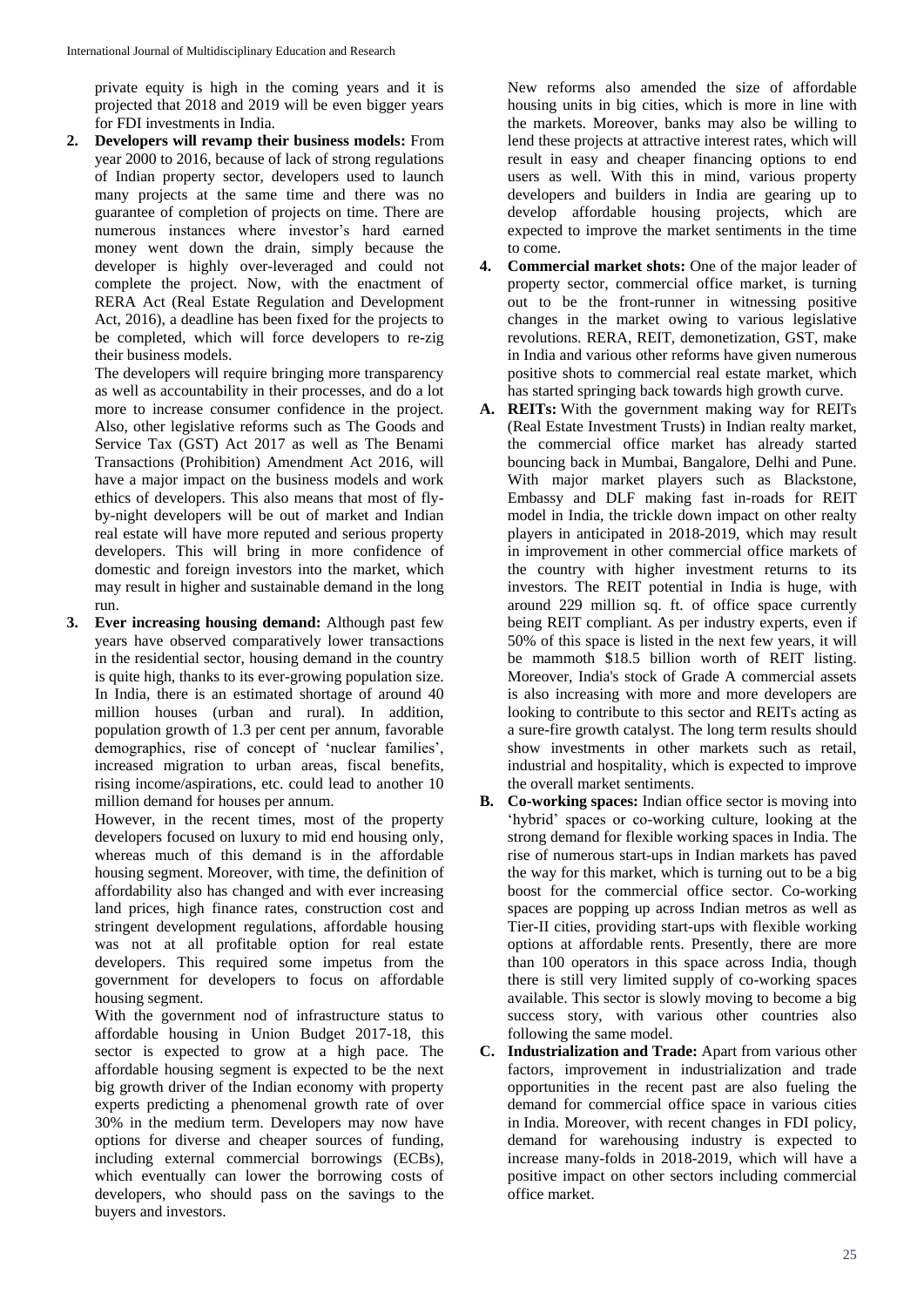private equity is high in the coming years and it is projected that 2018 and 2019 will be even bigger years for FDI investments in India.

**2. Developers will revamp their business models:** From year 2000 to 2016, because of lack of strong regulations of Indian property sector, developers used to launch many projects at the same time and there was no guarantee of completion of projects on time. There are numerous instances where investor's hard earned money went down the drain, simply because the developer is highly over-leveraged and could not complete the project. Now, with the enactment of RERA Act (Real Estate Regulation and Development Act, 2016), a deadline has been fixed for the projects to be completed, which will force developers to re-zig their business models.

The developers will require bringing more transparency as well as accountability in their processes, and do a lot more to increase consumer confidence in the project. Also, other legislative reforms such as The Goods and Service Tax (GST) Act 2017 as well as The Benami Transactions (Prohibition) Amendment Act 2016, will have a major impact on the business models and work ethics of developers. This also means that most of flyby-night developers will be out of market and Indian real estate will have more reputed and serious property developers. This will bring in more confidence of domestic and foreign investors into the market, which may result in higher and sustainable demand in the long run.

**3. Ever increasing housing demand:** Although past few years have observed comparatively lower transactions in the residential sector, housing demand in the country is quite high, thanks to its ever-growing population size. In India, there is an estimated shortage of around 40 million houses (urban and rural). In addition, population growth of 1.3 per cent per annum, favorable demographics, rise of concept of 'nuclear families', increased migration to urban areas, fiscal benefits, rising income/aspirations, etc. could lead to another 10 million demand for houses per annum.

However, in the recent times, most of the property developers focused on luxury to mid end housing only, whereas much of this demand is in the affordable housing segment. Moreover, with time, the definition of affordability also has changed and with ever increasing land prices, high finance rates, construction cost and stringent development regulations, affordable housing was not at all profitable option for real estate developers. This required some impetus from the government for developers to focus on affordable housing segment.

With the government nod of infrastructure status to affordable housing in Union Budget 2017-18, this sector is expected to grow at a high pace. The affordable housing segment is expected to be the next big growth driver of the Indian economy with property experts predicting a phenomenal growth rate of over 30% in the medium term. Developers may now have options for diverse and cheaper sources of funding, including external commercial borrowings (ECBs), which eventually can lower the borrowing costs of developers, who should pass on the savings to the buyers and investors.

New reforms also amended the size of affordable housing units in big cities, which is more in line with the markets. Moreover, banks may also be willing to lend these projects at attractive interest rates, which will result in easy and cheaper financing options to end users as well. With this in mind, various property developers and builders in India are gearing up to develop affordable housing projects, which are expected to improve the market sentiments in the time to come.

- **4. Commercial market shots:** One of the major leader of property sector, commercial office market, is turning out to be the front-runner in witnessing positive changes in the market owing to various legislative revolutions. RERA, REIT, demonetization, GST, make in India and various other reforms have given numerous positive shots to commercial real estate market, which has started springing back towards high growth curve.
- **A. REITs:** With the government making way for REITs (Real Estate Investment Trusts) in Indian realty market, the commercial office market has already started bouncing back in Mumbai, Bangalore, Delhi and Pune. With major market players such as Blackstone, Embassy and DLF making fast in-roads for REIT model in India, the trickle down impact on other realty players in anticipated in 2018-2019, which may result in improvement in other commercial office markets of the country with higher investment returns to its investors. The REIT potential in India is huge, with around 229 million sq. ft. of office space currently being REIT compliant. As per industry experts, even if 50% of this space is listed in the next few years, it will be mammoth \$18.5 billion worth of REIT listing. Moreover, India's stock of Grade A commercial assets is also increasing with more and more developers are looking to contribute to this sector and REITs acting as a sure-fire growth catalyst. The long term results should show investments in other markets such as retail, industrial and hospitality, which is expected to improve the overall market sentiments.
- **B. Co-working spaces:** Indian office sector is moving into 'hybrid' spaces or co-working culture, looking at the strong demand for flexible working spaces in India. The rise of numerous start-ups in Indian markets has paved the way for this market, which is turning out to be a big boost for the commercial office sector. Co-working spaces are popping up across Indian metros as well as Tier-II cities, providing start-ups with flexible working options at affordable rents. Presently, there are more than 100 operators in this space across India, though there is still very limited supply of co-working spaces available. This sector is slowly moving to become a big success story, with various other countries also following the same model.
- **C. Industrialization and Trade:** Apart from various other factors, improvement in industrialization and trade opportunities in the recent past are also fueling the demand for commercial office space in various cities in India. Moreover, with recent changes in FDI policy, demand for warehousing industry is expected to increase many-folds in 2018-2019, which will have a positive impact on other sectors including commercial office market.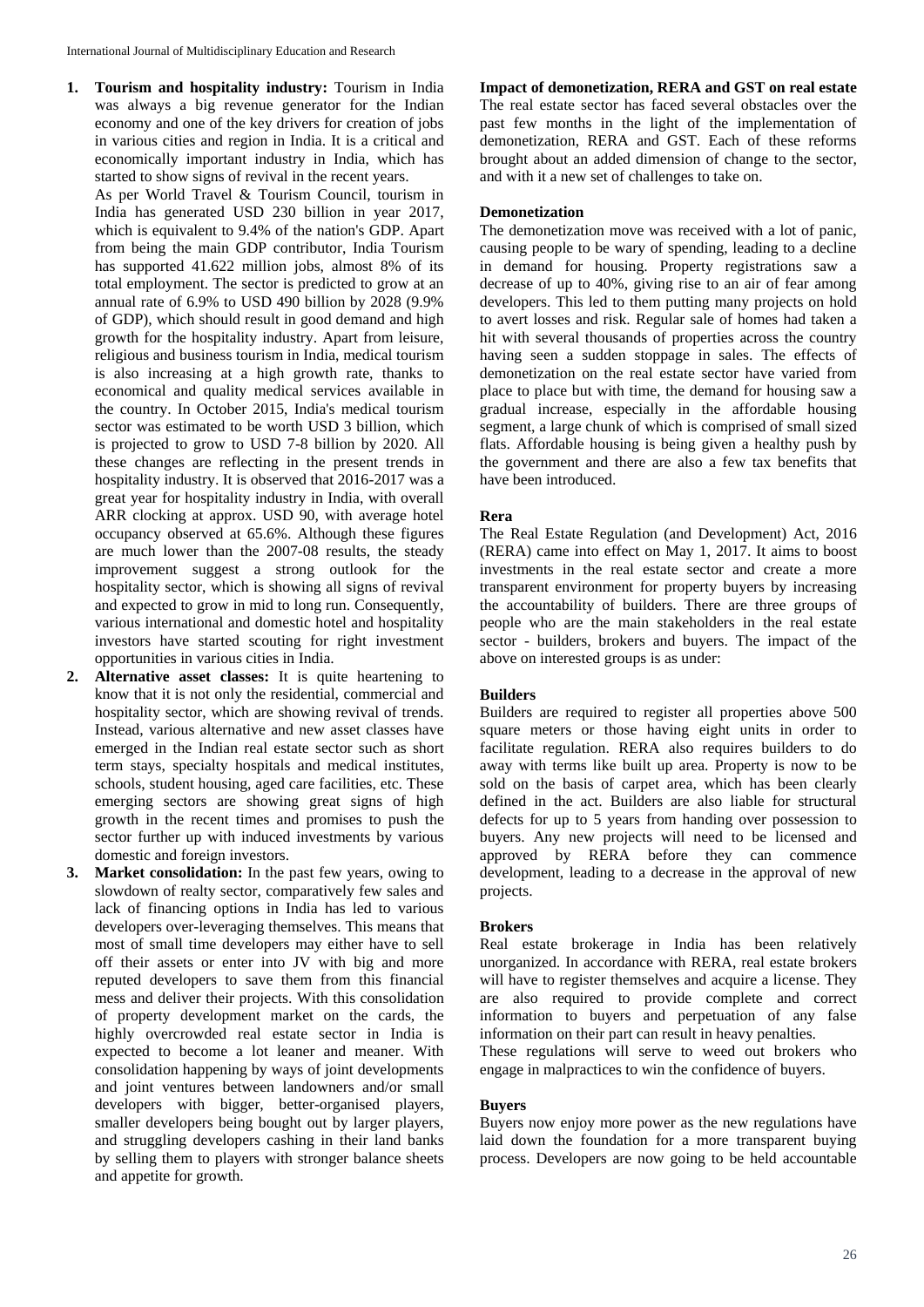**1. Tourism and hospitality industry:** Tourism in India was always a big revenue generator for the Indian economy and one of the key drivers for creation of jobs in various cities and region in India. It is a critical and economically important industry in India, which has started to show signs of revival in the recent years.

As per World Travel & Tourism Council, tourism in India has generated USD 230 billion in year 2017, which is equivalent to 9.4% of the nation's GDP. Apart from being the main GDP contributor, India Tourism has supported 41.622 million jobs, almost 8% of its total employment. The sector is predicted to grow at an annual rate of 6.9% to USD 490 billion by 2028 (9.9% of GDP), which should result in good demand and high growth for the hospitality industry. Apart from leisure, religious and business tourism in India, medical tourism is also increasing at a high growth rate, thanks to economical and quality medical services available in the country. In October 2015, India's medical tourism sector was estimated to be worth USD 3 billion, which is projected to grow to USD 7-8 billion by 2020. All these changes are reflecting in the present trends in hospitality industry. It is observed that 2016-2017 was a great year for hospitality industry in India, with overall ARR clocking at approx. USD 90, with average hotel occupancy observed at 65.6%. Although these figures are much lower than the 2007-08 results, the steady improvement suggest a strong outlook for the hospitality sector, which is showing all signs of revival and expected to grow in mid to long run. Consequently, various international and domestic hotel and hospitality investors have started scouting for right investment opportunities in various cities in India.

- **2. Alternative asset classes:** It is quite heartening to know that it is not only the residential, commercial and hospitality sector, which are showing revival of trends. Instead, various alternative and new asset classes have emerged in the Indian real estate sector such as short term stays, specialty hospitals and medical institutes, schools, student housing, aged care facilities, etc. These emerging sectors are showing great signs of high growth in the recent times and promises to push the sector further up with induced investments by various domestic and foreign investors.
- **3. Market consolidation:** In the past few years, owing to slowdown of realty sector, comparatively few sales and lack of financing options in India has led to various developers over-leveraging themselves. This means that most of small time developers may either have to sell off their assets or enter into JV with big and more reputed developers to save them from this financial mess and deliver their projects. With this consolidation of property development market on the cards, the highly overcrowded real estate sector in India is expected to become a lot leaner and meaner. With consolidation happening by ways of joint developments and joint ventures between landowners and/or small developers with bigger, better-organised players, smaller developers being bought out by larger players, and struggling developers cashing in their land banks by selling them to players with stronger balance sheets and appetite for growth.

**Impact of demonetization, RERA and GST on real estate** The real estate sector has faced several obstacles over the past few months in the light of the implementation of demonetization, RERA and GST. Each of these reforms brought about an added dimension of change to the sector, and with it a new set of challenges to take on.

### **Demonetization**

The demonetization move was received with a lot of panic, causing people to be wary of spending, leading to a decline in demand for housing. Property registrations saw a decrease of up to 40%, giving rise to an air of fear among developers. This led to them putting many projects on hold to avert losses and risk. Regular sale of homes had taken a hit with several thousands of properties across the country having seen a sudden stoppage in sales. The effects of demonetization on the real estate sector have varied from place to place but with time, the demand for housing saw a gradual increase, especially in the affordable housing segment, a large chunk of which is comprised of small sized flats. Affordable housing is being given a healthy push by the government and there are also a few tax benefits that have been introduced.

### **Rera**

The Real Estate Regulation (and Development) Act, 2016 (RERA) came into effect on May 1, 2017. It aims to boost investments in the real estate sector and create a more transparent environment for property buyers by increasing the accountability of builders. There are three groups of people who are the main stakeholders in the real estate sector - builders, brokers and buyers. The impact of the above on interested groups is as under:

## **Builders**

Builders are required to register all properties above 500 square meters or those having eight units in order to facilitate regulation. RERA also requires builders to do away with terms like built up area. Property is now to be sold on the basis of carpet area, which has been clearly defined in the act. Builders are also liable for structural defects for up to 5 years from handing over possession to buyers. Any new projects will need to be licensed and approved by RERA before they can commence development, leading to a decrease in the approval of new projects.

#### **Brokers**

Real estate brokerage in India has been relatively unorganized. In accordance with RERA, real estate brokers will have to register themselves and acquire a license. They are also required to provide complete and correct information to buyers and perpetuation of any false information on their part can result in heavy penalties.

These regulations will serve to weed out brokers who engage in malpractices to win the confidence of buyers.

#### **Buyers**

Buyers now enjoy more power as the new regulations have laid down the foundation for a more transparent buying process. Developers are now going to be held accountable